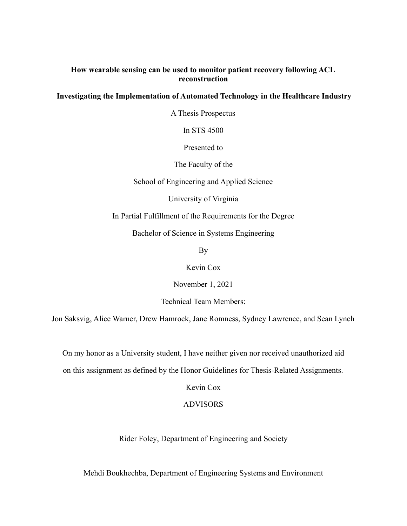## **How wearable sensing can be used to monitor patient recovery following ACL reconstruction**

## **Investigating the Implementation of Automated Technology in the Healthcare Industry**

A Thesis Prospectus

In STS 4500

Presented to

The Faculty of the

School of Engineering and Applied Science

University of Virginia

In Partial Fulfillment of the Requirements for the Degree

Bachelor of Science in Systems Engineering

By

Kevin Cox

November 1, 2021

Technical Team Members:

Jon Saksvig, Alice Warner, Drew Hamrock, Jane Romness, Sydney Lawrence, and Sean Lynch

On my honor as a University student, I have neither given nor received unauthorized aid

on this assignment as defined by the Honor Guidelines for Thesis-Related Assignments.

Kevin Cox

### ADVISORS

Rider Foley, Department of Engineering and Society

Mehdi Boukhechba, Department of Engineering Systems and Environment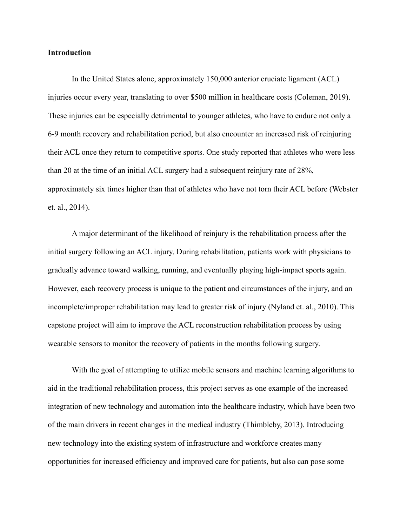### **Introduction**

In the United States alone, approximately 150,000 anterior cruciate ligament (ACL) injuries occur every year, translating to over \$500 million in healthcare costs (Coleman, 2019). These injuries can be especially detrimental to younger athletes, who have to endure not only a 6-9 month recovery and rehabilitation period, but also encounter an increased risk of reinjuring their ACL once they return to competitive sports. One study reported that athletes who were less than 20 at the time of an initial ACL surgery had a subsequent reinjury rate of 28%, approximately six times higher than that of athletes who have not torn their ACL before (Webster et. al., 2014).

A major determinant of the likelihood of reinjury is the rehabilitation process after the initial surgery following an ACL injury. During rehabilitation, patients work with physicians to gradually advance toward walking, running, and eventually playing high-impact sports again. However, each recovery process is unique to the patient and circumstances of the injury, and an incomplete/improper rehabilitation may lead to greater risk of injury (Nyland et. al., 2010). This capstone project will aim to improve the ACL reconstruction rehabilitation process by using wearable sensors to monitor the recovery of patients in the months following surgery.

With the goal of attempting to utilize mobile sensors and machine learning algorithms to aid in the traditional rehabilitation process, this project serves as one example of the increased integration of new technology and automation into the healthcare industry, which have been two of the main drivers in recent changes in the medical industry (Thimbleby, 2013). Introducing new technology into the existing system of infrastructure and workforce creates many opportunities for increased efficiency and improved care for patients, but also can pose some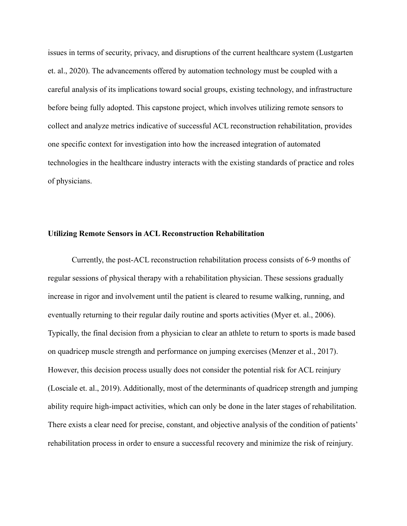issues in terms of security, privacy, and disruptions of the current healthcare system (Lustgarten et. al., 2020). The advancements offered by automation technology must be coupled with a careful analysis of its implications toward social groups, existing technology, and infrastructure before being fully adopted. This capstone project, which involves utilizing remote sensors to collect and analyze metrics indicative of successful ACL reconstruction rehabilitation, provides one specific context for investigation into how the increased integration of automated technologies in the healthcare industry interacts with the existing standards of practice and roles of physicians.

#### **Utilizing Remote Sensors in ACL Reconstruction Rehabilitation**

Currently, the post-ACL reconstruction rehabilitation process consists of 6-9 months of regular sessions of physical therapy with a rehabilitation physician. These sessions gradually increase in rigor and involvement until the patient is cleared to resume walking, running, and eventually returning to their regular daily routine and sports activities (Myer et. al., 2006). Typically, the final decision from a physician to clear an athlete to return to sports is made based on quadricep muscle strength and performance on jumping exercises (Menzer et al., 2017). However, this decision process usually does not consider the potential risk for ACL reinjury (Losciale et. al., 2019). Additionally, most of the determinants of quadricep strength and jumping ability require high-impact activities, which can only be done in the later stages of rehabilitation. There exists a clear need for precise, constant, and objective analysis of the condition of patients' rehabilitation process in order to ensure a successful recovery and minimize the risk of reinjury.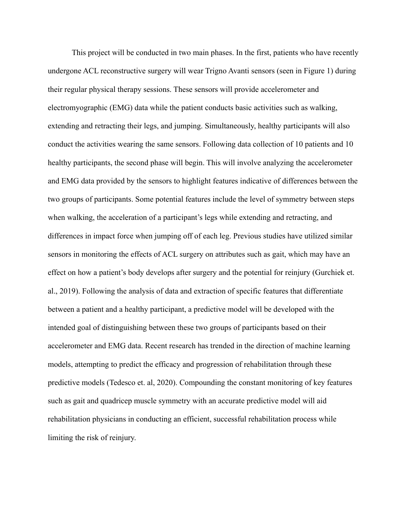This project will be conducted in two main phases. In the first, patients who have recently undergone ACL reconstructive surgery will wear Trigno Avanti sensors (seen in Figure 1) during their regular physical therapy sessions. These sensors will provide accelerometer and electromyographic (EMG) data while the patient conducts basic activities such as walking, extending and retracting their legs, and jumping. Simultaneously, healthy participants will also conduct the activities wearing the same sensors. Following data collection of 10 patients and 10 healthy participants, the second phase will begin. This will involve analyzing the accelerometer and EMG data provided by the sensors to highlight features indicative of differences between the two groups of participants. Some potential features include the level of symmetry between steps when walking, the acceleration of a participant's legs while extending and retracting, and differences in impact force when jumping off of each leg. Previous studies have utilized similar sensors in monitoring the effects of ACL surgery on attributes such as gait, which may have an effect on how a patient's body develops after surgery and the potential for reinjury (Gurchiek et. al., 2019). Following the analysis of data and extraction of specific features that differentiate between a patient and a healthy participant, a predictive model will be developed with the intended goal of distinguishing between these two groups of participants based on their accelerometer and EMG data. Recent research has trended in the direction of machine learning models, attempting to predict the efficacy and progression of rehabilitation through these predictive models (Tedesco et. al, 2020). Compounding the constant monitoring of key features such as gait and quadricep muscle symmetry with an accurate predictive model will aid rehabilitation physicians in conducting an efficient, successful rehabilitation process while limiting the risk of reinjury.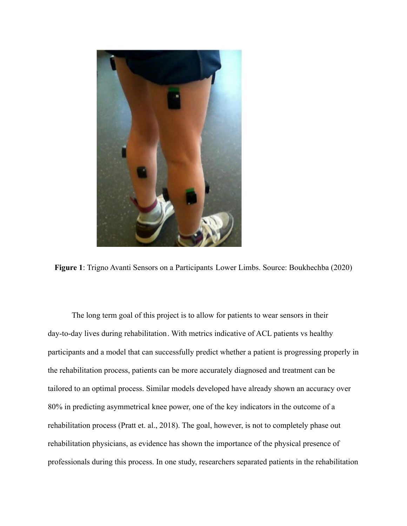

**Figure 1**: Trigno Avanti Sensors on a Participants Lower Limbs. Source: Boukhechba (2020)

The long term goal of this project is to allow for patients to wear sensors in their day-to-day lives during rehabilitation. With metrics indicative of ACL patients vs healthy participants and a model that can successfully predict whether a patient is progressing properly in the rehabilitation process, patients can be more accurately diagnosed and treatment can be tailored to an optimal process. Similar models developed have already shown an accuracy over 80% in predicting asymmetrical knee power, one of the key indicators in the outcome of a rehabilitation process (Pratt et. al., 2018). The goal, however, is not to completely phase out rehabilitation physicians, as evidence has shown the importance of the physical presence of professionals during this process. In one study, researchers separated patients in the rehabilitation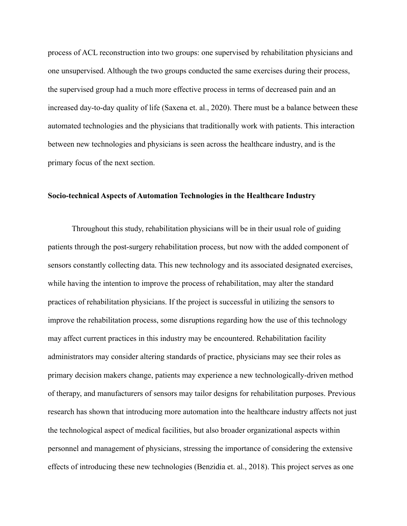process of ACL reconstruction into two groups: one supervised by rehabilitation physicians and one unsupervised. Although the two groups conducted the same exercises during their process, the supervised group had a much more effective process in terms of decreased pain and an increased day-to-day quality of life (Saxena et. al., 2020). There must be a balance between these automated technologies and the physicians that traditionally work with patients. This interaction between new technologies and physicians is seen across the healthcare industry, and is the primary focus of the next section.

### **Socio-technical Aspects of Automation Technologies in the Healthcare Industry**

Throughout this study, rehabilitation physicians will be in their usual role of guiding patients through the post-surgery rehabilitation process, but now with the added component of sensors constantly collecting data. This new technology and its associated designated exercises, while having the intention to improve the process of rehabilitation, may alter the standard practices of rehabilitation physicians. If the project is successful in utilizing the sensors to improve the rehabilitation process, some disruptions regarding how the use of this technology may affect current practices in this industry may be encountered. Rehabilitation facility administrators may consider altering standards of practice, physicians may see their roles as primary decision makers change, patients may experience a new technologically-driven method of therapy, and manufacturers of sensors may tailor designs for rehabilitation purposes. Previous research has shown that introducing more automation into the healthcare industry affects not just the technological aspect of medical facilities, but also broader organizational aspects within personnel and management of physicians, stressing the importance of considering the extensive effects of introducing these new technologies (Benzidia et. al., 2018). This project serves as one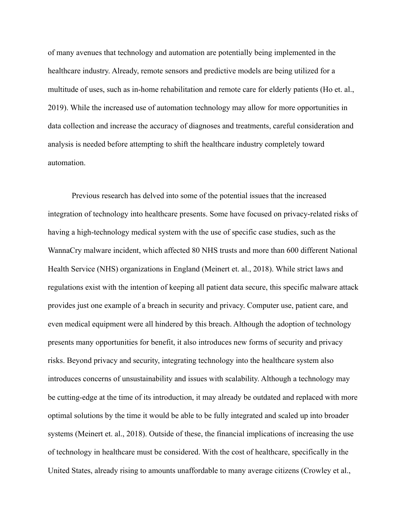of many avenues that technology and automation are potentially being implemented in the healthcare industry. Already, remote sensors and predictive models are being utilized for a multitude of uses, such as in-home rehabilitation and remote care for elderly patients (Ho et. al., 2019). While the increased use of automation technology may allow for more opportunities in data collection and increase the accuracy of diagnoses and treatments, careful consideration and analysis is needed before attempting to shift the healthcare industry completely toward automation.

Previous research has delved into some of the potential issues that the increased integration of technology into healthcare presents. Some have focused on privacy-related risks of having a high-technology medical system with the use of specific case studies, such as the WannaCry malware incident, which affected 80 NHS trusts and more than 600 different National Health Service (NHS) organizations in England (Meinert et. al., 2018). While strict laws and regulations exist with the intention of keeping all patient data secure, this specific malware attack provides just one example of a breach in security and privacy. Computer use, patient care, and even medical equipment were all hindered by this breach. Although the adoption of technology presents many opportunities for benefit, it also introduces new forms of security and privacy risks. Beyond privacy and security, integrating technology into the healthcare system also introduces concerns of unsustainability and issues with scalability. Although a technology may be cutting-edge at the time of its introduction, it may already be outdated and replaced with more optimal solutions by the time it would be able to be fully integrated and scaled up into broader systems (Meinert et. al., 2018). Outside of these, the financial implications of increasing the use of technology in healthcare must be considered. With the cost of healthcare, specifically in the United States, already rising to amounts unaffordable to many average citizens (Crowley et al.,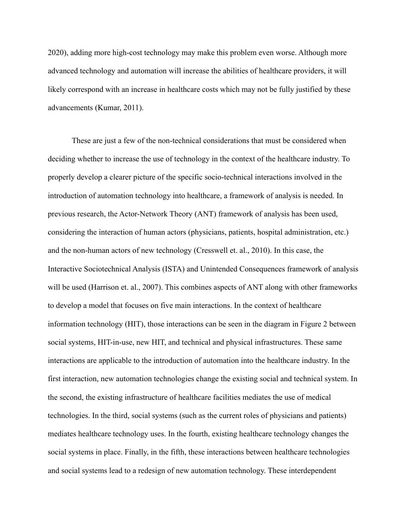2020), adding more high-cost technology may make this problem even worse. Although more advanced technology and automation will increase the abilities of healthcare providers, it will likely correspond with an increase in healthcare costs which may not be fully justified by these advancements (Kumar, 2011).

These are just a few of the non-technical considerations that must be considered when deciding whether to increase the use of technology in the context of the healthcare industry. To properly develop a clearer picture of the specific socio-technical interactions involved in the introduction of automation technology into healthcare, a framework of analysis is needed. In previous research, the Actor-Network Theory (ANT) framework of analysis has been used, considering the interaction of human actors (physicians, patients, hospital administration, etc.) and the non-human actors of new technology (Cresswell et. al., 2010). In this case, the Interactive Sociotechnical Analysis (ISTA) and Unintended Consequences framework of analysis will be used (Harrison et. al., 2007). This combines aspects of ANT along with other frameworks to develop a model that focuses on five main interactions. In the context of healthcare information technology (HIT), those interactions can be seen in the diagram in Figure 2 between social systems, HIT-in-use, new HIT, and technical and physical infrastructures. These same interactions are applicable to the introduction of automation into the healthcare industry. In the first interaction, new automation technologies change the existing social and technical system. In the second, the existing infrastructure of healthcare facilities mediates the use of medical technologies. In the third, social systems (such as the current roles of physicians and patients) mediates healthcare technology uses. In the fourth, existing healthcare technology changes the social systems in place. Finally, in the fifth, these interactions between healthcare technologies and social systems lead to a redesign of new automation technology. These interdependent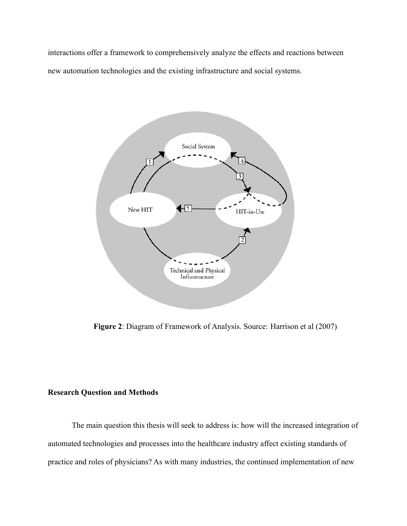interactions offer a framework to comprehensively analyze the effects and reactions between new automation technologies and the existing infrastructure and social systems.



**Figure 2**: Diagram of Framework of Analysis. Source: Harrison et al (2007)

## **Research Question and Methods**

The main question this thesis will seek to address is: how will the increased integration of automated technologies and processes into the healthcare industry affect existing standards of practice and roles of physicians? As with many industries, the continued implementation of new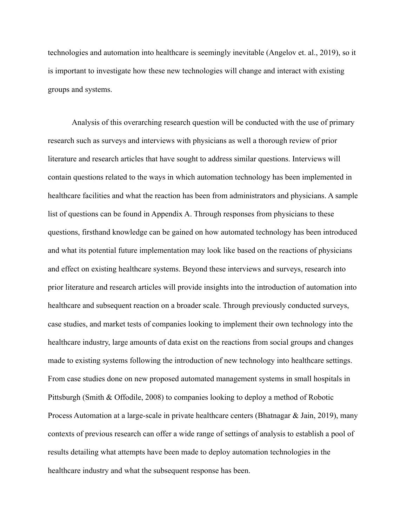technologies and automation into healthcare is seemingly inevitable (Angelov et. al., 2019), so it is important to investigate how these new technologies will change and interact with existing groups and systems.

Analysis of this overarching research question will be conducted with the use of primary research such as surveys and interviews with physicians as well a thorough review of prior literature and research articles that have sought to address similar questions. Interviews will contain questions related to the ways in which automation technology has been implemented in healthcare facilities and what the reaction has been from administrators and physicians. A sample list of questions can be found in Appendix A. Through responses from physicians to these questions, firsthand knowledge can be gained on how automated technology has been introduced and what its potential future implementation may look like based on the reactions of physicians and effect on existing healthcare systems. Beyond these interviews and surveys, research into prior literature and research articles will provide insights into the introduction of automation into healthcare and subsequent reaction on a broader scale. Through previously conducted surveys, case studies, and market tests of companies looking to implement their own technology into the healthcare industry, large amounts of data exist on the reactions from social groups and changes made to existing systems following the introduction of new technology into healthcare settings. From case studies done on new proposed automated management systems in small hospitals in Pittsburgh (Smith & Offodile, 2008) to companies looking to deploy a method of Robotic Process Automation at a large-scale in private healthcare centers (Bhatnagar  $\&$  Jain, 2019), many contexts of previous research can offer a wide range of settings of analysis to establish a pool of results detailing what attempts have been made to deploy automation technologies in the healthcare industry and what the subsequent response has been.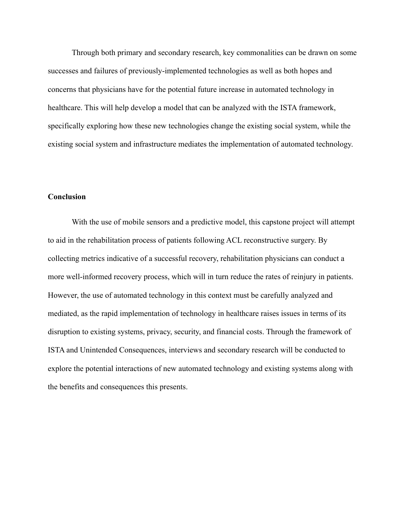Through both primary and secondary research, key commonalities can be drawn on some successes and failures of previously-implemented technologies as well as both hopes and concerns that physicians have for the potential future increase in automated technology in healthcare. This will help develop a model that can be analyzed with the ISTA framework, specifically exploring how these new technologies change the existing social system, while the existing social system and infrastructure mediates the implementation of automated technology.

## **Conclusion**

With the use of mobile sensors and a predictive model, this capstone project will attempt to aid in the rehabilitation process of patients following ACL reconstructive surgery. By collecting metrics indicative of a successful recovery, rehabilitation physicians can conduct a more well-informed recovery process, which will in turn reduce the rates of reinjury in patients. However, the use of automated technology in this context must be carefully analyzed and mediated, as the rapid implementation of technology in healthcare raises issues in terms of its disruption to existing systems, privacy, security, and financial costs. Through the framework of ISTA and Unintended Consequences, interviews and secondary research will be conducted to explore the potential interactions of new automated technology and existing systems along with the benefits and consequences this presents.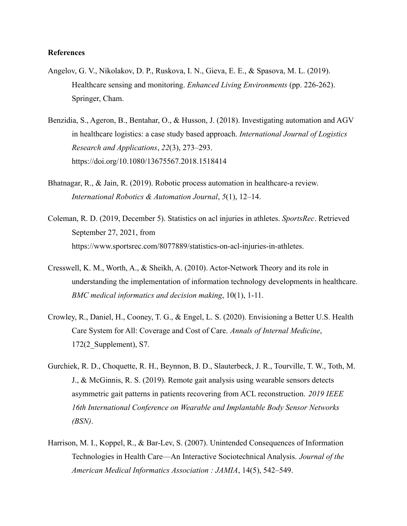### **References**

- Angelov, G. V., Nikolakov, D. P., Ruskova, I. N., Gieva, E. E., & Spasova, M. L. (2019). Healthcare sensing and monitoring. *Enhanced Living Environments* (pp. 226-262). Springer, Cham.
- Benzidia, S., Ageron, B., Bentahar, O., & Husson, J. (2018). Investigating automation and AGV in healthcare logistics: a case study based approach. *International Journal of Logistics Research and Applications*, *22*(3), 273–293. https://doi.org/10.1080/13675567.2018.1518414
- Bhatnagar, R., & Jain, R. (2019). Robotic process automation in healthcare-a review. *International Robotics & Automation Journal*, *5*(1), 12–14.
- Coleman, R. D. (2019, December 5). Statistics on acl injuries in athletes. *SportsRec*. Retrieved September 27, 2021, from https://www.sportsrec.com/8077889/statistics-on-acl-injuries-in-athletes.
- Cresswell, K. M., Worth, A., & Sheikh, A. (2010). Actor-Network Theory and its role in understanding the implementation of information technology developments in healthcare. *BMC medical informatics and decision making*, 10(1), 1-11.
- Crowley, R., Daniel, H., Cooney, T. G., & Engel, L. S. (2020). Envisioning a Better U.S. Health Care System for All: Coverage and Cost of Care. *Annals of Internal Medicine*, 172(2\_Supplement), S7.
- Gurchiek, R. D., Choquette, R. H., Beynnon, B. D., Slauterbeck, J. R., Tourville, T. W., Toth, M. J., & McGinnis, R. S. (2019). Remote gait analysis using wearable sensors detects asymmetric gait patterns in patients recovering from ACL reconstruction. *2019 IEEE 16th International Conference on Wearable and Implantable Body Sensor Networks (BSN)*.
- Harrison, M. I., Koppel, R., & Bar-Lev, S. (2007). Unintended Consequences of Information Technologies in Health Care—An Interactive Sociotechnical Analysis. *Journal of the American Medical Informatics Association : JAMIA*, 14(5), 542–549.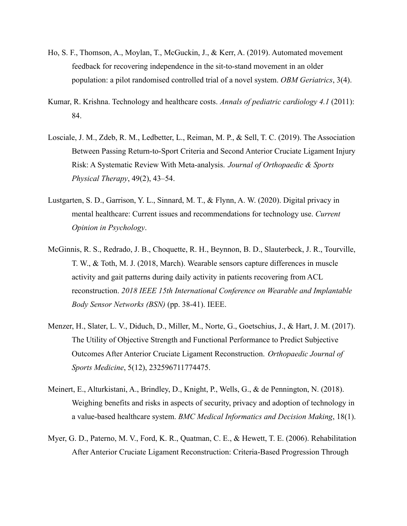- Ho, S. F., Thomson, A., Moylan, T., McGuckin, J., & Kerr, A. (2019). Automated movement feedback for recovering independence in the sit-to-stand movement in an older population: a pilot randomised controlled trial of a novel system. *OBM Geriatrics*, 3(4).
- Kumar, R. Krishna. Technology and healthcare costs. *Annals of pediatric cardiology 4.1* (2011): 84.
- Losciale, J. M., Zdeb, R. M., Ledbetter, L., Reiman, M. P., & Sell, T. C. (2019). The Association Between Passing Return-to-Sport Criteria and Second Anterior Cruciate Ligament Injury Risk: A Systematic Review With Meta-analysis. *Journal of Orthopaedic & Sports Physical Therapy*, 49(2), 43–54.
- Lustgarten, S. D., Garrison, Y. L., Sinnard, M. T., & Flynn, A. W. (2020). Digital privacy in mental healthcare: Current issues and recommendations for technology use. *Current Opinion in Psychology*.
- McGinnis, R. S., Redrado, J. B., Choquette, R. H., Beynnon, B. D., Slauterbeck, J. R., Tourville, T. W., & Toth, M. J. (2018, March). Wearable sensors capture differences in muscle activity and gait patterns during daily activity in patients recovering from ACL reconstruction. *2018 IEEE 15th International Conference on Wearable and Implantable Body Sensor Networks (BSN)* (pp. 38-41). IEEE.
- Menzer, H., Slater, L. V., Diduch, D., Miller, M., Norte, G., Goetschius, J., & Hart, J. M. (2017). The Utility of Objective Strength and Functional Performance to Predict Subjective Outcomes After Anterior Cruciate Ligament Reconstruction. *Orthopaedic Journal of Sports Medicine*, 5(12), 232596711774475.
- Meinert, E., Alturkistani, A., Brindley, D., Knight, P., Wells, G., & de Pennington, N. (2018). Weighing benefits and risks in aspects of security, privacy and adoption of technology in a value-based healthcare system. *BMC Medical Informatics and Decision Making*, 18(1).
- Myer, G. D., Paterno, M. V., Ford, K. R., Quatman, C. E., & Hewett, T. E. (2006). Rehabilitation After Anterior Cruciate Ligament Reconstruction: Criteria-Based Progression Through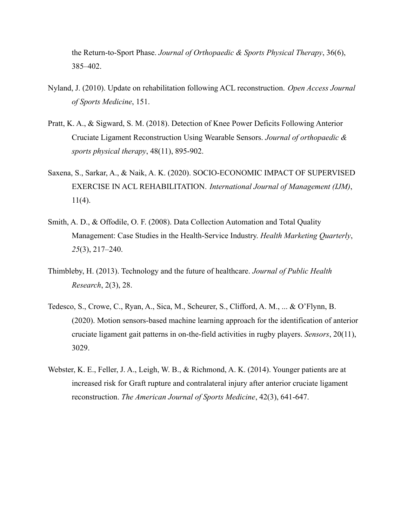the Return-to-Sport Phase. *Journal of Orthopaedic & Sports Physical Therapy*, 36(6), 385–402.

- Nyland, J. (2010). Update on rehabilitation following ACL reconstruction. *Open Access Journal of Sports Medicine*, 151.
- Pratt, K. A., & Sigward, S. M. (2018). Detection of Knee Power Deficits Following Anterior Cruciate Ligament Reconstruction Using Wearable Sensors. *Journal of orthopaedic & sports physical therapy*, 48(11), 895-902.
- Saxena, S., Sarkar, A., & Naik, A. K. (2020). SOCIO-ECONOMIC IMPACT OF SUPERVISED EXERCISE IN ACL REHABILITATION. *International Journal of Management (IJM)*,  $11(4)$ .
- Smith, A. D., & Offodile, O. F. (2008). Data Collection Automation and Total Quality Management: Case Studies in the Health-Service Industry. *Health Marketing Quarterly*, *25*(3), 217–240.
- Thimbleby, H. (2013). Technology and the future of healthcare. *Journal of Public Health Research*, 2(3), 28.
- Tedesco, S., Crowe, C., Ryan, A., Sica, M., Scheurer, S., Clifford, A. M., ... & O'Flynn, B. (2020). Motion sensors-based machine learning approach for the identification of anterior cruciate ligament gait patterns in on-the-field activities in rugby players. *Sensors*, 20(11), 3029.
- Webster, K. E., Feller, J. A., Leigh, W. B., & Richmond, A. K. (2014). Younger patients are at increased risk for Graft rupture and contralateral injury after anterior cruciate ligament reconstruction. *The American Journal of Sports Medicine*, 42(3), 641-647.